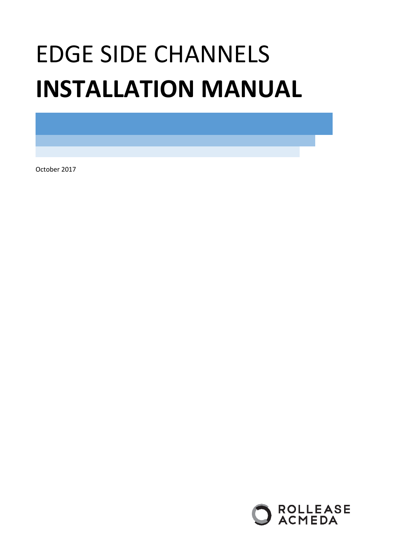# EDGE SIDE CHANNELS **INSTALLATION MANUAL**

<span id="page-0-1"></span><span id="page-0-0"></span>October 2017

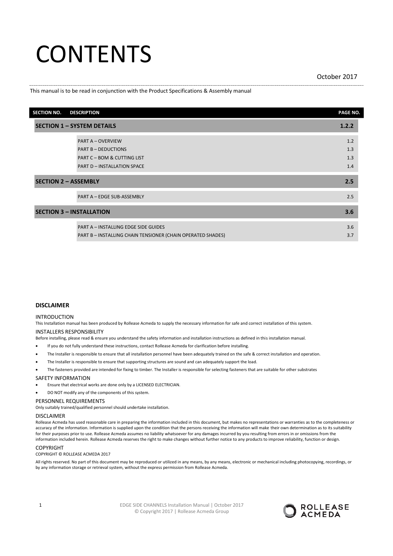# **CONTENTS**

## [October](#page-0-0) [2017](#page-0-1)

## This manual is to be read in conjunction with the Product Specifications & Assembly manual

| <b>SECTION NO.</b>                | <b>DESCRIPTION</b>                                          | PAGE NO. |  |  |
|-----------------------------------|-------------------------------------------------------------|----------|--|--|
| <b>SECTION 1 - SYSTEM DETAILS</b> |                                                             |          |  |  |
|                                   | <b>PART A - OVERVIEW</b>                                    | 1.2      |  |  |
|                                   | <b>PART B - DEDUCTIONS</b>                                  | 1.3      |  |  |
|                                   | <b>PART C - BOM &amp; CUTTING LIST</b>                      | 1.3      |  |  |
|                                   | <b>PART D - INSTALLATION SPACE</b>                          | 1.4      |  |  |
| <b>SECTION 2 - ASSEMBLY</b>       |                                                             | 2.5      |  |  |
|                                   | PART A - EDGE SUB-ASSEMBLY                                  | 2.5      |  |  |
|                                   | <b>SECTION 3 - INSTALLATION</b>                             | 3.6      |  |  |
|                                   | <b>PART A - INSTALLING EDGE SIDE GUIDES</b>                 | 3.6      |  |  |
|                                   | PART B - INSTALLING CHAIN TENSIONER (CHAIN OPERATED SHADES) | 3.7      |  |  |

## **DISCLAIMER**

## INTRODUCTION

This Installation manual has been produced by Rollease Acmeda to supply the necessary information for safe and correct installation of this system.

## INSTALLERS RESPONSIBILITY

Before installing, please read & ensure you understand the safety information and installation instructions as defined in this installation manual.

- If you do not fully understand these instructions, contact Rollease Acmeda for clarification before installing.
- The Installer is responsible to ensure that all installation personnel have been adequately trained on the safe & correct installation and operation.
- The Installer is responsible to ensure that supporting structures are sound and can adequately support the load.
- The fasteners provided are intended for fixing to timber. The Installer is responsible for selecting fasteners that are suitable for other substrates

### SAFETY INFORMATION

- Ensure that electrical works are done only by a LICENSED ELECTRICIAN.
- DO NOT modify any of the components of this system.

## PERSONNEL REQUIREMENTS

Only suitably trained/qualified personnel should undertake installation.

#### DISCLAIMER

Rollease Acmeda has used reasonable care in preparing the information included in this document, but makes no representations or warranties as to the completeness or accuracy of the information. Information is supplied upon the condition that the persons receiving the information will make their own determination as to its suitability for their purposes prior to use. Rollease Acmeda assumes no liability whatsoever for any damages incurred by you resulting from errors in or omissions from the information included herein. Rollease Acmeda reserves the right to make changes without further notice to any products to improve reliability, function or design.

### **COPYRIGHT**

COPYRIGHT © ROLLEASE ACMEDA [2017](#page-0-1)

All rights reserved. No part of this document may be reproduced or utilized in any means, by any means, electronic or mechanical including photocopying, recordings, or by any information storage or retrieval system, without the express permission from Rollease Acmeda.

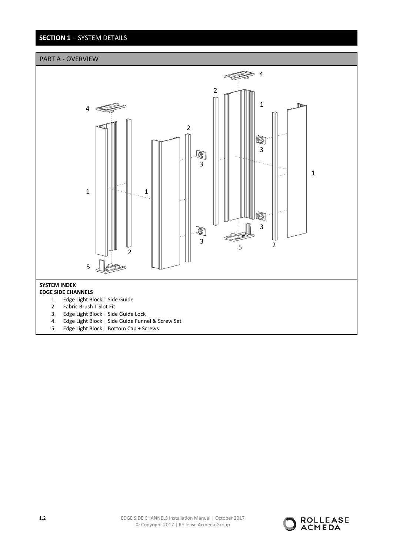# **SECTION 1** – SYSTEM DETAILS



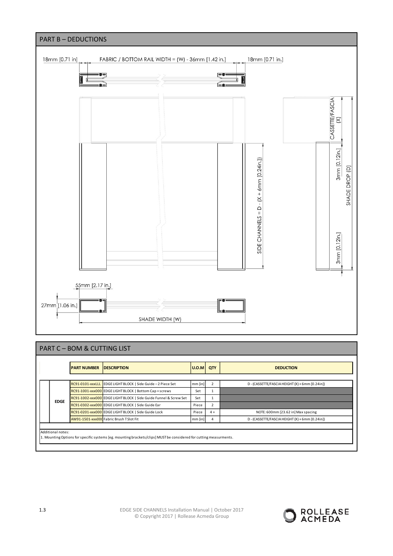

# PART C – BOM & CUTTING LIST

|             | <b>PART NUMBER</b> | <b>DESCRIPTION</b>                                                | $ U.0.M $ QTY |      | <b>DEDUCTION</b>                                |
|-------------|--------------------|-------------------------------------------------------------------|---------------|------|-------------------------------------------------|
|             |                    |                                                                   |               |      |                                                 |
| <b>EDGE</b> |                    | RC91-0101-xxxLLL EDGE LIGHT BLOCK   Side Guide - 2 Piece Set      | $mm$ [in]     |      | D - (CASSETTE/FASCIA HEIGHT (X) + 6mm [0.24in]) |
|             |                    | RC91-1001-xxx000 EDGE LIGHT BLOCK   Bottom Cap + screws           | Set           |      |                                                 |
|             |                    | RC91-1002-xxx000 EDGE LIGHT BLOCK   Side Guide Funnel & Screw Set | Set           |      |                                                 |
|             |                    | RC91-0302-xxx000 EDGE LIGHT BLOCK   Side Guide Ear                | Piece         |      |                                                 |
|             |                    | RC91-0201-xxx000 EDGE LIGHT BLOCK   Side Guide Lock               | Piece         | $4+$ | NOTE: 600mm [23.62 in] Max spacing              |
|             |                    | AW91-1501-xxx000 Fabric Brush T Slot Fit                          | $mm$ [in]     |      | D - (CASSETTE/FASCIA HEIGHT (X) + 6mm [0.24in]) |

Additional notes:

1. Mounting Options for specific systems [eg. mounting brackets/clips] MUST be considered for cutting measurments.

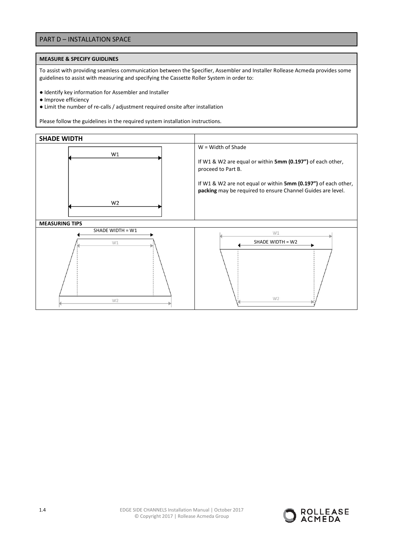## PART D – INSTALLATION SPACE

## **MEASURE & SPECIFY GUIDLINES**

To assist with providing seamless communication between the Specifier, Assembler and Installer Rollease Acmeda provides some guidelines to assist with measuring and specifying the Cassette Roller System in order to:

- Identify key information for Assembler and Installer
- Improve efficiency
- Limit the number of re-calls / adjustment required onsite after installation

Please follow the guidelines in the required system installation instructions.



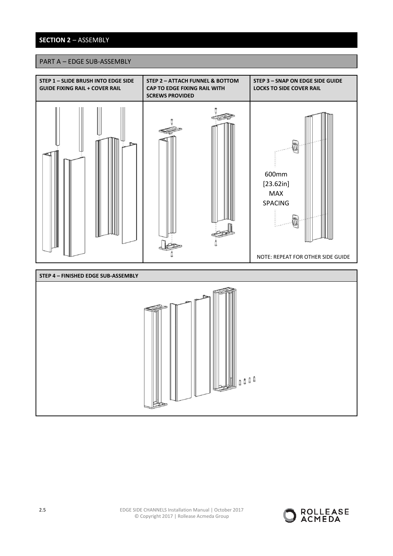# **SECTION 2** – ASSEMBLY

## PART A – EDGE SUB-ASSEMBLY

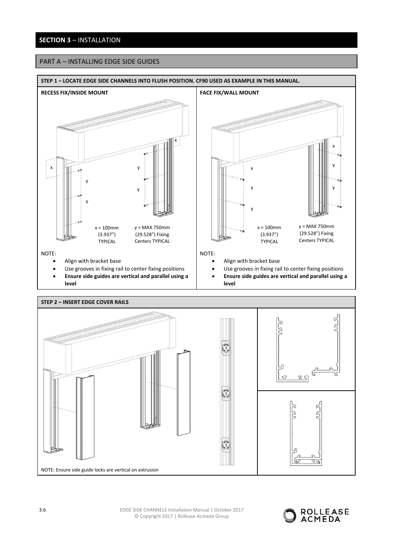# **SECTION 3** – INSTALLATION

# PART A – INSTALLING EDGE SIDE GUIDES